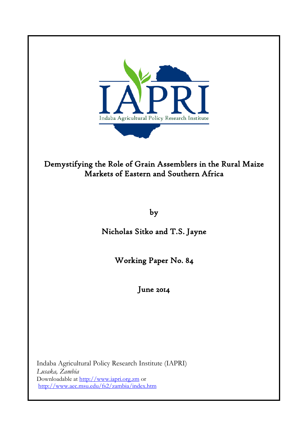

by

Nicholas Sitko and T.S. Jayne

Working Paper No. 84

June 2014

Indaba Agricultural Policy Research Institute (IAPRI) *Lusaka, Zambia* Downloadable at http://www.iapri.org.zm or http://www.aec.msu.edu/fs2/zambia/index.htm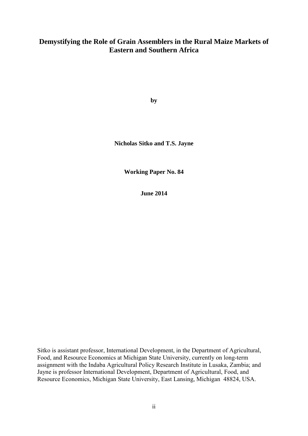# **Demystifying the Role of Grain Assemblers in the Rural Maize Markets of Eastern and Southern Africa**

**by**

**Nicholas Sitko and T.S. Jayne** 

**Working Paper No. 84** 

**June 2014**

Sitko is assistant professor, International Development, in the Department of Agricultural, Food, and Resource Economics at Michigan State University, currently on long-term assignment with the Indaba Agricultural Policy Research Institute in Lusaka, Zambia; and Jayne is professor International Development, Department of Agricultural, Food, and Resource Economics, Michigan State University, East Lansing, Michigan 48824, USA.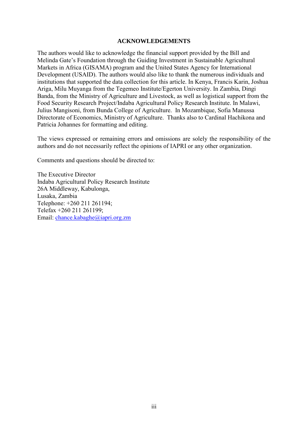#### **ACKNOWLEDGEMENTS**

The authors would like to acknowledge the financial support provided by the Bill and Melinda Gate's Foundation through the Guiding Investment in Sustainable Agricultural Markets in Africa (GISAMA) program and the United States Agency for International Development (USAID). The authors would also like to thank the numerous individuals and institutions that supported the data collection for this article. In Kenya, Francis Karin, Joshua Ariga, Milu Muyanga from the Tegemeo Institute/Egerton University. In Zambia, Dingi Banda, from the Ministry of Agriculture and Livestock, as well as logistical support from the Food Security Research Project/Indaba Agricultural Policy Research Institute. In Malawi, Julius Mangisoni, from Bunda College of Agriculture. In Mozambique, Sofia Manussa Directorate of Economics, Ministry of Agriculture. Thanks also to Cardinal Hachikona and Patricia Johannes for formatting and editing.

The views expressed or remaining errors and omissions are solely the responsibility of the authors and do not necessarily reflect the opinions of IAPRI or any other organization.

Comments and questions should be directed to:

The Executive Director Indaba Agricultural Policy Research Institute 26A Middleway, Kabulonga, Lusaka, Zambia Telephone: +260 211 261194; Telefax +260 211 261199; Email: chance.kabaghe@iapri.org.zm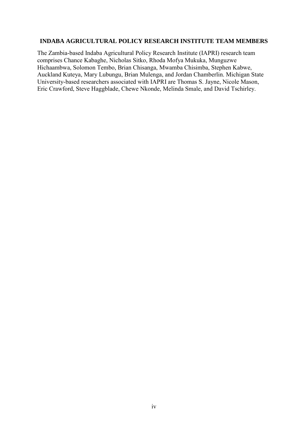### **INDABA AGRICULTURAL POLICY RESEARCH INSTITUTE TEAM MEMBERS**

The Zambia-based Indaba Agricultural Policy Research Institute (IAPRI) research team comprises Chance Kabaghe, Nicholas Sitko, Rhoda Mofya Mukuka, Munguzwe Hichaambwa, Solomon Tembo, Brian Chisanga, Mwamba Chisimba, Stephen Kabwe, Auckland Kuteya, Mary Lubungu, Brian Mulenga, and Jordan Chamberlin. Michigan State University-based researchers associated with IAPRI are Thomas S. Jayne, Nicole Mason, Eric Crawford, Steve Haggblade, Chewe Nkonde, Melinda Smale, and David Tschirley.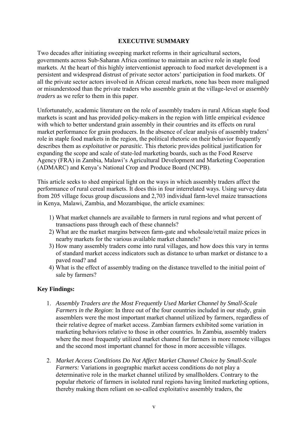## **EXECUTIVE SUMMARY**

Two decades after initiating sweeping market reforms in their agricultural sectors, governments across Sub-Saharan Africa continue to maintain an active role in staple food markets. At the heart of this highly interventionist approach to food market development is a persistent and widespread distrust of private sector actors' participation in food markets. Of all the private sector actors involved in African cereal markets, none has been more maligned or misunderstood than the private traders who assemble grain at the village-level or *assembly traders* as we refer to them in this paper.

Unfortunately, academic literature on the role of assembly traders in rural African staple food markets is scant and has provided policy-makers in the region with little empirical evidence with which to better understand grain assembly in their countries and its effects on rural market performance for grain producers. In the absence of clear analysis of assembly traders' role in staple food markets in the region, the political rhetoric on their behavior frequently describes them as *exploitative* or *parasitic*. This rhetoric provides political justification for expanding the scope and scale of state-led marketing boards, such as the Food Reserve Agency (FRA) in Zambia, Malawi's Agricultural Development and Marketing Cooperation (ADMARC) and Kenya's National Crop and Produce Board (NCPB).

This article seeks to shed empirical light on the ways in which assembly traders affect the performance of rural cereal markets. It does this in four interrelated ways. Using survey data from 205 village focus group discussions and 2,703 individual farm-level maize transactions in Kenya, Malawi, Zambia, and Mozambique, the article examines:

- 1) What market channels are available to farmers in rural regions and what percent of transactions pass through each of these channels?
- 2) What are the market margins between farm-gate and wholesale/retail maize prices in nearby markets for the various available market channels?
- 3) How many assembly traders come into rural villages, and how does this vary in terms of standard market access indicators such as distance to urban market or distance to a paved road? and
- 4) What is the effect of assembly trading on the distance travelled to the initial point of sale by farmers?

# **Key Findings:**

- 1. *Assembly Traders are the Most Frequently Used Market Channel by Small-Scale Farmers in the Region*: In three out of the four countries included in our study, grain assemblers were the most important market channel utilized by farmers, regardless of their relative degree of market access. Zambian farmers exhibited some variation in marketing behaviors relative to those in other countries. In Zambia, assembly traders where the most frequently utilized market channel for farmers in more remote villages and the second most important channel for those in more accessible villages.
- 2. *Market Access Conditions Do Not Affect Market Channel Choice by Small-Scale Farmers:* Variations in geographic market access conditions do not play a determinative role in the market channel utilized by smallholders. Contrary to the popular rhetoric of farmers in isolated rural regions having limited marketing options, thereby making them reliant on so-called exploitative assembly traders, the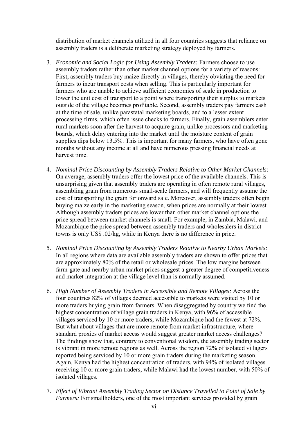distribution of market channels utilized in all four countries suggests that reliance on assembly traders is a deliberate marketing strategy deployed by farmers.

- 3. *Economic and Social Logic for Using Assembly Traders:* Farmers choose to use assembly traders rather than other market channel options for a variety of reasons: First, assembly traders buy maize directly in villages, thereby obviating the need for farmers to incur transport costs when selling. This is particularly important for farmers who are unable to achieve sufficient economies of scale in production to lower the unit cost of transport to a point where transporting their surplus to markets outside of the village becomes profitable. Second, assembly traders pay farmers cash at the time of sale, unlike parastatal marketing boards, and to a lesser extent processing firms, which often issue checks to farmers. Finally, grain assemblers enter rural markets soon after the harvest to acquire grain, unlike processors and marketing boards, which delay entering into the market until the moisture content of grain supplies dips below 13.5%. This is important for many farmers, who have often gone months without any income at all and have numerous pressing financial needs at harvest time.
- 4. *Nominal Price Discounting by Assembly Traders Relative to Other Market Channels:*  On average, assembly traders offer the lowest price of the available channels. This is unsurprising given that assembly traders are operating in often remote rural villages, assembling grain from numerous small-scale farmers, and will frequently assume the cost of transporting the grain for onward sale. Moreover, assembly traders often begin buying maize early in the marketing season, when prices are normally at their lowest. Although assembly traders prices are lower than other market channel options the price spread between market channels is small. For example, in Zambia, Malawi, and Mozambique the price spread between assembly traders and wholesalers in district towns is only US\$ .02/kg, while in Kenya there is no difference in price.
- 5. *Nominal Price Discounting by Assembly Traders Relative to Nearby Urban Markets:*  In all regions where data are available assembly traders are shown to offer prices that are approximately 80% of the retail or wholesale prices. The low margins between farm-gate and nearby urban market prices suggest a greater degree of competitiveness and market integration at the village level than is normally assumed.
- 6. *High Number of Assembly Traders in Accessible and Remote Villages:* Across the four countries 82% of villages deemed accessible to markets were visited by 10 or more traders buying grain from farmers. When disaggregated by country we find the highest concentration of village grain traders in Kenya, with 96% of accessible villages serviced by 10 or more traders, while Mozambique had the fewest at 72%. But what about villages that are more remote from market infrastructure, where standard proxies of market access would suggest greater market access challenges? The findings show that, contrary to conventional wisdom, the assembly trading sector is vibrant in more remote regions as well. Across the region 72% of isolated villagers reported being serviced by 10 or more grain traders during the marketing season. Again, Kenya had the highest concentration of traders, with 94% of isolated villages receiving 10 or more grain traders, while Malawi had the lowest number, with 50% of isolated villages.
- 7. *Effect of Vibrant Assembly Trading Sector on Distance Travelled to Point of Sale by Farmers:* For smallholders, one of the most important services provided by grain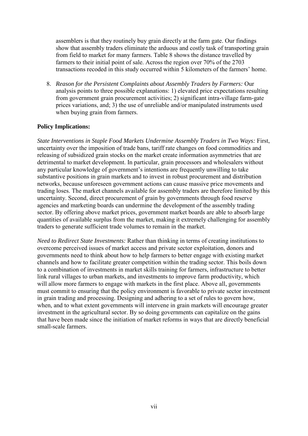assemblers is that they routinely buy grain directly at the farm gate. Our findings show that assembly traders eliminate the arduous and costly task of transporting grain from field to market for many farmers. Table 8 shows the distance travelled by farmers to their initial point of sale. Across the region over 70% of the 2703 transactions recoded in this study occurred within 5 kilometers of the farmers' home.

8. *Reason for the Persistent Complaints about Assembly Traders by Farmers:* Our analysis points to three possible explanations: 1) elevated price expectations resulting from government grain procurement activities; 2) significant intra-village farm-gate prices variations, and; 3) the use of unreliable and/or manipulated instruments used when buying grain from farmers.

## **Policy Implications:**

*State Interventions in Staple Food Markets Undermine Assembly Traders in Two Ways:* First, uncertainty over the imposition of trade bans, tariff rate changes on food commodities and releasing of subsidized grain stocks on the market create information asymmetries that are detrimental to market development. In particular, grain processors and wholesalers without any particular knowledge of government's intentions are frequently unwilling to take substantive positions in grain markets and to invest in robust procurement and distribution networks, because unforeseen government actions can cause massive price movements and trading loses. The market channels available for assembly traders are therefore limited by this uncertainty. Second, direct procurement of grain by governments through food reserve agencies and marketing boards can undermine the development of the assembly trading sector. By offering above market prices, government market boards are able to absorb large quantities of available surplus from the market, making it extremely challenging for assembly traders to generate sufficient trade volumes to remain in the market.

*Need to Redirect State Investments:* Rather than thinking in terms of creating institutions to overcome perceived issues of market access and private sector exploitation, donors and governments need to think about how to help farmers to better engage with existing market channels and how to facilitate greater competition within the trading sector. This boils down to a combination of investments in market skills training for farmers, infrastructure to better link rural villages to urban markets, and investments to improve farm productivity, which will allow more farmers to engage with markets in the first place. Above all, governments must commit to ensuring that the policy environment is favorable to private sector investment in grain trading and processing. Designing and adhering to a set of rules to govern how, when, and to what extent governments will intervene in grain markets will encourage greater investment in the agricultural sector. By so doing governments can capitalize on the gains that have been made since the initiation of market reforms in ways that are directly beneficial small-scale farmers.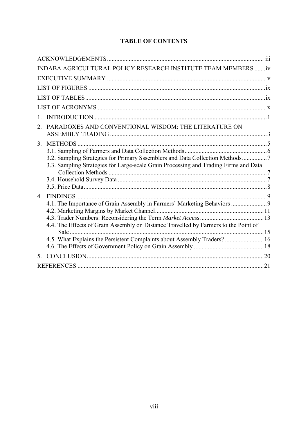# **TABLE OF CONTENTS**

| INDABA AGRICULTURAL POLICY RESEARCH INSTITUTE TEAM MEMBERS iv                                                                                                        |  |
|----------------------------------------------------------------------------------------------------------------------------------------------------------------------|--|
|                                                                                                                                                                      |  |
|                                                                                                                                                                      |  |
|                                                                                                                                                                      |  |
|                                                                                                                                                                      |  |
| $\mathbf{1}$                                                                                                                                                         |  |
| PARADOXES AND CONVENTIONAL WISDOM: THE LITERATURE ON<br>$\overline{2}$ .                                                                                             |  |
| 3 <sub>1</sub>                                                                                                                                                       |  |
| 3.2. Sampling Strategies for Primary Sssemblers and Data Collection Methods7<br>3.3. Sampling Strategies for Large-scale Grain Processing and Trading Firms and Data |  |
| $\overline{4}$ .<br>4.1. The Importance of Grain Assembly in Farmers' Marketing Behaviors  9                                                                         |  |
| 4.4. The Effects of Grain Assembly on Distance Travelled by Farmers to the Point of<br>4.5. What Explains the Persistent Complaints about Assembly Traders?  16      |  |
| $5_{-}$                                                                                                                                                              |  |
|                                                                                                                                                                      |  |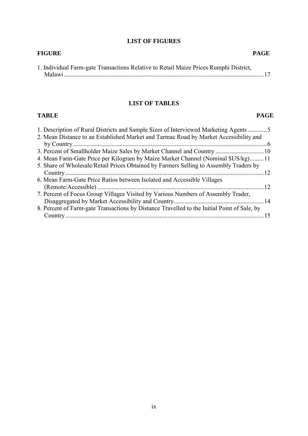#### **LIST OF FIGURES**

# **FIGURE PAGE** 1. Individual Farm-gate Transactions Relative to Retail Maize Prices Rumphi District,

| . Individual Farm-gate Transactions Relative to Retail Maize Prices Rumphi District, |  |
|--------------------------------------------------------------------------------------|--|
| Malawi.                                                                              |  |

#### **LIST OF TABLES**

#### **TABLE PAGE**

## 1. Description of Rural Districts and Sample Sizes of Interviewed Marketing Agents ............ 5 2. Mean Distance to an Established Market and Tarmac Road by Market Accessibility and by Country ............................................................................................................................. 6 3. Percent of Smallholder Maize Sales by Market Channel and Country ............................... 10 4. Mean Farm-Gate Price per Kilogram by Maize Market Channel (Nominal \$US/kg) ......... 11 5. Share of Wholesale/Retail Prices Obtained by Farmers Selling to Assembly Traders by Country ................................................................................................................................ 12 6. Mean Farm-Gate Price Ratios between Isolated and Accessible Villages (Remote/Accessible) ........................................................................................................... 12 7. Percent of Focus Group Villages Visited by Various Numbers of Assembly Trader, Disaggregated by Market Accessibility and Country .......................................................... 14 8. Percent of Farm-gate Transactions by Distance Travelled to the Initial Point of Sale, by Country ................................................................................................................................ 15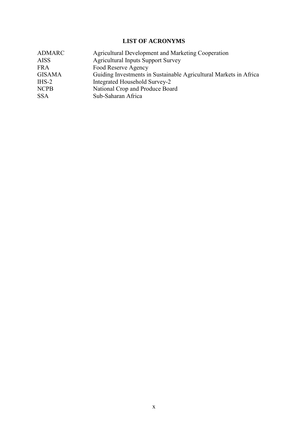# **LIST OF ACRONYMS**

| <b>ADMARC</b> | Agricultural Development and Marketing Cooperation                |
|---------------|-------------------------------------------------------------------|
| <b>AISS</b>   | <b>Agricultural Inputs Support Survey</b>                         |
| <b>FRA</b>    | Food Reserve Agency                                               |
| <b>GISAMA</b> | Guiding Investments in Sustainable Agricultural Markets in Africa |
| $IHS-2$       | Integrated Household Survey-2                                     |
| <b>NCPB</b>   | National Crop and Produce Board                                   |
| <b>SSA</b>    | Sub-Saharan Africa                                                |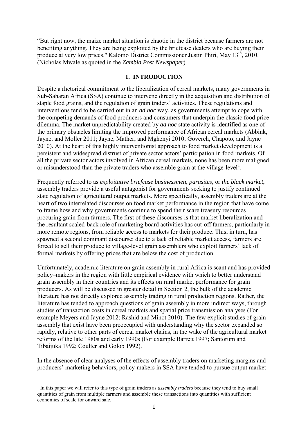"But right now, the maize market situation is chaotic in the district because farmers are not benefiting anything. They are being exploited by the briefcase dealers who are buying their produce at very low prices." Kalomo District Commissioner Justin Phiri, May 13<sup>th</sup>, 2010. (Nicholas Mwale as quoted in the *Zambia Post Newspaper*).

#### **1. INTRODUCTION**

Despite a rhetorical commitment to the liberalization of cereal markets, many governments in Sub-Saharan Africa (SSA) continue to intervene directly in the acquisition and distribution of staple food grains, and the regulation of grain traders' activities. These regulations and interventions tend to be carried out in an *ad hoc* way, as governments attempt to cope with the competing demands of food producers and consumers that underpin the classic food price dilemma. The market unpredictability created by *ad hoc* state activity is identified as one of the primary obstacles limiting the improved performance of African cereal markets (Abbink, Jayne, and Moller 2011; Jayne, Mather, and Mghenyi 2010; Govereh, Chapoto, and Jayne 2010). At the heart of this highly interventionist approach to food market development is a persistent and widespread distrust of private sector actors' participation in food markets. Of all the private sector actors involved in African cereal markets, none has been more maligned or misunderstood than the private traders who assemble grain at the village-level<sup>[1](#page-10-0)</sup>.

Frequently referred to as *exploitative briefcase businessmen*, *parasites*, or *the black market*, assembly traders provide a useful antagonist for governments seeking to justify continued state regulation of agricultural output markets. More specifically, assembly traders are at the heart of two interrelated discourses on food market performance in the region that have come to frame how and why governments continue to spend their scare treasury resources procuring grain from farmers. The first of these discourses is that market liberalization and the resultant scaled-back role of marketing board activities has cut-off farmers, particularly in more remote regions, from reliable access to markets for their produce. This, in turn, has spawned a second dominant discourse: due to a lack of reliable market access, farmers are forced to sell their produce to village-level grain assemblers who exploit farmers' lack of formal markets by offering prices that are below the cost of production.

Unfortunately, academic literature on grain assembly in rural Africa is scant and has provided policy–makers in the region with little empirical evidence with which to better understand grain assembly in their countries and its effects on rural market performance for grain producers. As will be discussed in greater detail in Section 2, the bulk of the academic literature has not directly explored assembly trading in rural production regions. Rather, the literature has tended to approach questions of grain assembly in more indirect ways, through studies of transaction costs in cereal markets and spatial price transmission analyses (For example Meyers and Jayne 2012; Rashid and Minot 2010). The few explicit studies of grain assembly that exist have been preoccupied with understanding why the sector expanded so rapidly, relative to other parts of cereal market chains, in the wake of the agricultural market reforms of the late 1980s and early 1990s (For example Barrett 1997; Santorum and Tibaijuka 1992; Coulter and Golob 1992).

In the absence of clear analyses of the effects of assembly traders on marketing margins and producers' marketing behaviors, policy-makers in SSA have tended to pursue output market

-

<span id="page-10-0"></span><sup>&</sup>lt;sup>1</sup> In this paper we will refer to this type of grain traders as *assembly traders* because they tend to buy small quantities of grain from multiple farmers and assemble these transactions into quantities with sufficient economies of scale for onward sale.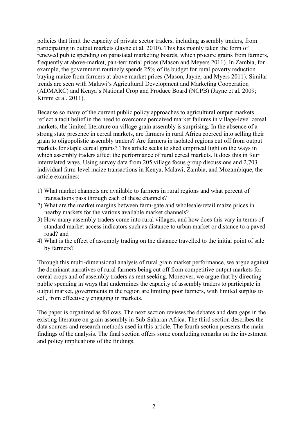policies that limit the capacity of private sector traders, including assembly traders, from participating in output markets (Jayne et al*.* 2010). This has mainly taken the form of renewed public spending on parastatal marketing boards, which procure grains from farmers, frequently at above-market, pan-territorial prices (Mason and Meyers 2011). In Zambia, for example, the government routinely spends 25% of its budget for rural poverty reduction buying maize from farmers at above market prices (Mason, Jayne, and Myers 2011). Similar trends are seen with Malawi's Agricultural Development and Marketing Cooperation (ADMARC) and Kenya's National Crop and Produce Board (NCPB) (Jayne et al*.* 2009; Kirimi et al. 2011).

Because so many of the current public policy approaches to agricultural output markets reflect a tacit belief in the need to overcome perceived market failures in village-level cereal markets, the limited literature on village grain assembly is surprising. In the absence of a strong state presence in cereal markets, are farmers in rural Africa coerced into selling their grain to oligopolistic assembly traders? Are farmers in isolated regions cut off from output markets for staple cereal grains? This article seeks to shed empirical light on the ways in which assembly traders affect the performance of rural cereal markets. It does this in four interrelated ways. Using survey data from 205 village focus group discussions and 2,703 individual farm-level maize transactions in Kenya, Malawi, Zambia, and Mozambique, the article examines:

- 1) What market channels are available to farmers in rural regions and what percent of transactions pass through each of these channels?
- 2) What are the market margins between farm-gate and wholesale/retail maize prices in nearby markets for the various available market channels?
- 3) How many assembly traders come into rural villages, and how does this vary in terms of standard market access indicators such as distance to urban market or distance to a paved road? and
- 4) What is the effect of assembly trading on the distance travelled to the initial point of sale by farmers?

Through this multi-dimensional analysis of rural grain market performance, we argue against the dominant narratives of rural farmers being cut off from competitive output markets for cereal crops and of assembly traders as rent seeking. Moreover, we argue that by directing public spending in ways that undermines the capacity of assembly traders to participate in output market, governments in the region are limiting poor farmers, with limited surplus to sell, from effectively engaging in markets.

The paper is organized as follows. The next section reviews the debates and data gaps in the existing literature on grain assembly in Sub-Saharan Africa. The third section describes the data sources and research methods used in this article. The fourth section presents the main findings of the analysis. The final section offers some concluding remarks on the investment and policy implications of the findings.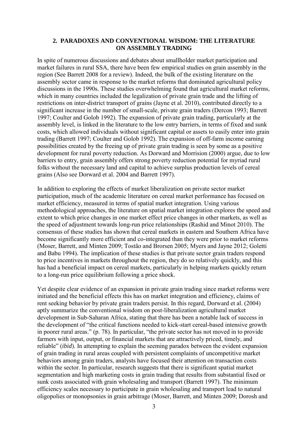#### **2. PARADOXES AND CONVENTIONAL WISDOM: THE LITERATURE ON ASSEMBLY TRADING**

In spite of numerous discussions and debates about smallholder market participation and market failures in rural SSA, there have been few empirical studies on grain assembly in the region (See Barrett 2008 for a review). Indeed, the bulk of the existing literature on the assembly sector came in response to the market reforms that dominated agricultural policy discussions in the 1990s. These studies overwhelming found that agricultural market reforms, which in many countries included the legalization of private grain trade and the lifting of restrictions on inter-district transport of grains (Jayne et al. 2010), contributed directly to a significant increase in the number of small-scale, private grain traders (Dercon 1993; Barrett 1997; Coulter and Golob 1992). The expansion of private grain trading, particularly at the assembly level, is linked in the literature to the low entry barriers, in terms of fixed and sunk costs, which allowed individuals without significant capital or assets to easily enter into grain trading (Barrett 1997; Coulter and Golob 1992). The expansion of off-farm income earning possibilities created by the freeing up of private grain trading is seen by some as a positive development for rural poverty reduction. As Dorward and Morrision (2000) argue, due to low barriers to entry, grain assembly offers strong poverty reduction potential for myriad rural folks without the necessary land and capital to achieve surplus production levels of cereal grains (Also see Dorward et al. 2004 and Barrett 1997).

In addition to exploring the effects of market liberalization on private sector market participation, much of the academic literature on cereal market performance has focused on market efficiency, measured in terms of spatial market integration. Using various methodological approaches, the literature on spatial market integration explores the speed and extent to which price changes in one market effect price changes in other markets, as well as the speed of adjustment towards long-run price relationships (Rashid and Minot 2010). The consensus of these studies has shown that cereal markets in eastern and Southern Africa have become significantly more efficient and co-integrated than they were prior to market reforms (Moser, Barrett, and Minten 2009; Tostão and Brorsen 2005; Myers and Jayne 2012; Goletti and Babu 1994). The implication of these studies is that private sector grain traders respond to price incentives in markets throughout the region, they do so relatively quickly, and this has had a beneficial impact on cereal markets, particularly in helping markets quickly return to a long-run price equilibrium following a price shock.

Yet despite clear evidence of an expansion in private grain trading since market reforms were initiated and the beneficial effects this has on market integration and efficiency, claims of rent seeking behavior by private grain traders persist. In this regard, Dorward et al. (2004) aptly summarize the conventional wisdom on post-liberalization agricultural market development in Sub-Saharan Africa, stating that there has been a notable lack of success in the development of "the critical functions needed to kick-start cereal-based intensive growth in poorer rural areas." (p. 78). In particular, "the private sector has not moved in to provide farmers with input, output, or financial markets that are attractively priced, timely, and reliable" (*ibid*). In attempting to explain the seeming paradox between the evident expansion of grain trading in rural areas coupled with persistent complaints of uncompetitive market behaviors among grain traders, analysts have focused their attention on transaction costs within the sector. In particular, research suggests that there is significant spatial market segmentation and high marketing costs in grain trading that results from substantial fixed or sunk costs associated with grain wholesaling and transport (Barrett 1997). The minimum efficiency scales necessary to participate in grain wholesaling and transport lead to natural oligopolies or monopsonies in grain arbitrage (Moser, Barrett, and Minten 2009; Dorosh and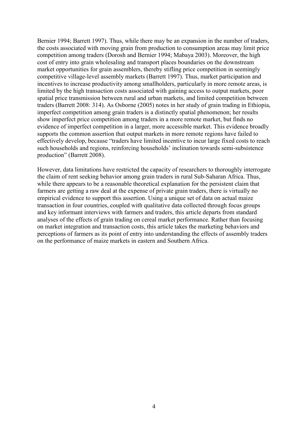Bernier 1994; Barrett 1997). Thus, while there may be an expansion in the number of traders, the costs associated with moving grain from production to consumption areas may limit price competition among traders (Dorosh and Bernier 1994; Mabaya 2003). Moreover, the high cost of entry into grain wholesaling and transport places boundaries on the downstream market opportunities for grain assemblers, thereby stifling price competition in seemingly competitive village-level assembly markets (Barrett 1997). Thus, market participation and incentives to increase productivity among smallholders, particularly in more remote areas, is limited by the high transaction costs associated with gaining access to output markets, poor spatial price transmission between rural and urban markets, and limited competition between traders (Barrett 2008: 314). As Osborne (2005) notes in her study of grain trading in Ethiopia, imperfect competition among grain traders is a distinctly spatial phenomenon; her results show imperfect price competition among traders in a more remote market, but finds no evidence of imperfect competition in a larger, more accessible market. This evidence broadly supports the common assertion that output markets in more remote regions have failed to effectively develop, because "traders have limited incentive to incur large fixed costs to reach such households and regions, reinforcing households' inclination towards semi-subsistence production" (Barrett 2008).

However, data limitations have restricted the capacity of researchers to thoroughly interrogate the claim of rent seeking behavior among grain traders in rural Sub-Saharan Africa. Thus, while there appears to be a reasonable theoretical explanation for the persistent claim that farmers are getting a raw deal at the expense of private grain traders, there is virtually no empirical evidence to support this assertion. Using a unique set of data on actual maize transaction in four countries, coupled with qualitative data collected through focus groups and key informant interviews with farmers and traders, this article departs from standard analyses of the effects of grain trading on cereal market performance. Rather than focusing on market integration and transaction costs, this article takes the marketing behaviors and perceptions of farmers as its point of entry into understanding the effects of assembly traders on the performance of maize markets in eastern and Southern Africa.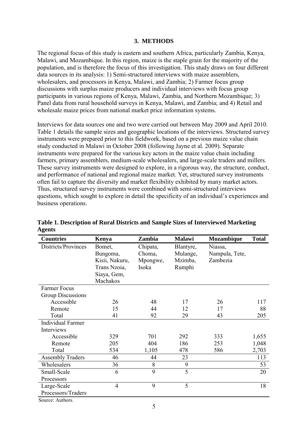#### **3. METHODS**

The regional focus of this study is eastern and southern Africa, particularly Zambia, Kenya, Malawi, and Mozambique. In this region, maize is the staple grain for the majority of the population, and is therefore the focus of this investigation. This study draws on four different data sources in its analysis: 1) Semi-structured interviews with maize assemblers, wholesalers, and processors in Kenya, Malawi, and Zambia; 2) Farmer focus group discussions with surplus maize producers and individual interviews with focus group participants in various regions of Kenya, Malawi, Zambia, and Northern Mozambique; 3) Panel data from rural household surveys in Kenya, Malawi, and Zambia; and 4) Retail and wholesale maize prices from national market price information systems.

Interviews for data sources one and two were carried out between May 2009 and April 2010. Table 1 details the sample sizes and geographic locations of the interviews. Structured survey instruments were prepared prior to this fieldwork, based on a previous maize value chain study conducted in Malawi in October 2008 (following Jayne et al. 2009). Separate instruments were prepared for the various key actors in the maize value chain including farmers, primary assemblers, medium-scale wholesalers, and large-scale traders and millers. These survey instruments were designed to explore, in a rigorous way, the structure, conduct, and performance of national and regional maize market. Yet, structured survey instruments often fail to capture the diversity and market flexibility exhibited by many market actors. Thus, structured survey instruments were combined with semi-structured interviews questions, which sought to explore in detail the specificity of an individual's experiences and business operations.

| <b>Countries</b>                         | Kenya          | Zambia   | <b>Malawi</b> | <b>Mozambique</b> | <b>Total</b> |
|------------------------------------------|----------------|----------|---------------|-------------------|--------------|
| Districts/Provinces                      | Bomet,         | Chipata, | Blantyre,     | Niassa,           |              |
|                                          | Bungoma,       | Choma,   | Mulange,      | Nampula, Tete,    |              |
|                                          | Kisii, Nakuru, | Mpongwe, | Mzimba,       | Zambezia          |              |
|                                          | Trans Nzoia,   | Isoka    | Rumphi        |                   |              |
|                                          | Siaya, Gem,    |          |               |                   |              |
|                                          | Machakos       |          |               |                   |              |
| <b>Farmer Focus</b>                      |                |          |               |                   |              |
| <b>Group Discussions</b>                 |                |          |               |                   |              |
| Accessible                               | 26             | 48       | 17            | 26                | 117          |
| Remote                                   | 15             | 44       | 12            | 17                | 88           |
| Total                                    | 41             | 92       | 29            | 43                | 205          |
| <b>Individual Farmer</b>                 |                |          |               |                   |              |
| Interviews                               |                |          |               |                   |              |
| Accessible                               | 329            | 701      | 292           | 333               | 1,655        |
| Remote                                   | 205            | 404      | 186           | 253               | 1,048        |
| Total                                    | 534            | 1,105    | 478           | 586               | 2,703        |
| <b>Assembly Traders</b>                  | 46             | 44       | 23            |                   | 113          |
| Wholesalers                              | 36             | 8        | 9             |                   | 53           |
| Small-Scale                              | 6              | 9        | 5             |                   | 20           |
| Processors                               |                |          |               |                   |              |
| Large-Scale                              | $\overline{4}$ | 9        | 5             |                   | 18           |
| Processors/Traders                       |                |          |               |                   |              |
| $C_{\text{average}}$ $\Lambda$ $\Lambda$ |                |          |               |                   |              |

**Table 1. Description of Rural Districts and Sample Sizes of Interviewed Marketing Agents** 

Source: Authors.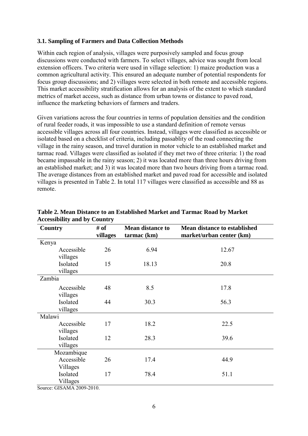## **3.1. Sampling of Farmers and Data Collection Methods**

Within each region of analysis, villages were purposively sampled and focus group discussions were conducted with farmers. To select villages, advice was sought from local extension officers. Two criteria were used in village selection: 1) maize production was a common agricultural activity. This ensured an adequate number of potential respondents for focus group discussions; and 2) villages were selected in both remote and accessible regions. This market accessibility stratification allows for an analysis of the extent to which standard metrics of market access, such as distance from urban towns or distance to paved road, influence the marketing behaviors of farmers and traders.

Given variations across the four countries in terms of population densities and the condition of rural feeder roads, it was impossible to use a standard definition of remote versus accessible villages across all four countries. Instead, villages were classified as accessible or isolated based on a checklist of criteria, including passablity of the road connecting the village in the rainy season, and travel duration in motor vehicle to an established market and tarmac road. Villages were classified as isolated if they met two of three criteria: 1) the road became impassable in the rainy season; 2) it was located more than three hours driving from an established market; and 3) it was located more than two hours driving from a tarmac road. The average distances from an established market and paved road for accessible and isolated villages is presented in Table 2. In total 117 villages were classified as accessible and 88 as remote.

| villages<br>Kenya<br>6.94<br>Accessible<br>26<br>villages<br>Isolated<br>15<br>18.13<br>villages<br>Zambia<br>Accessible<br>48<br>8.5<br>villages<br>Isolated<br>44<br>30.3<br>villages<br>Malawi<br>Accessible<br>17<br>18.2<br>villages<br>Isolated<br>12<br>28.3 | 12.67<br>20.8 |
|---------------------------------------------------------------------------------------------------------------------------------------------------------------------------------------------------------------------------------------------------------------------|---------------|
|                                                                                                                                                                                                                                                                     |               |
|                                                                                                                                                                                                                                                                     |               |
|                                                                                                                                                                                                                                                                     |               |
|                                                                                                                                                                                                                                                                     |               |
|                                                                                                                                                                                                                                                                     |               |
|                                                                                                                                                                                                                                                                     |               |
|                                                                                                                                                                                                                                                                     | 17.8          |
|                                                                                                                                                                                                                                                                     |               |
|                                                                                                                                                                                                                                                                     | 56.3          |
|                                                                                                                                                                                                                                                                     |               |
|                                                                                                                                                                                                                                                                     |               |
|                                                                                                                                                                                                                                                                     | 22.5          |
|                                                                                                                                                                                                                                                                     |               |
|                                                                                                                                                                                                                                                                     | 39.6          |
| villages                                                                                                                                                                                                                                                            |               |
| Mozambique                                                                                                                                                                                                                                                          |               |
| Accessible<br>26<br>17.4                                                                                                                                                                                                                                            | 44.9          |
| Villages                                                                                                                                                                                                                                                            |               |
| Isolated<br>17<br>78.4                                                                                                                                                                                                                                              | 51.1          |
| Villages                                                                                                                                                                                                                                                            |               |

## **Table 2. Mean Distance to an Established Market and Tarmac Road by Market Accessibility and by Country**

Source: GISAMA 2009-2010.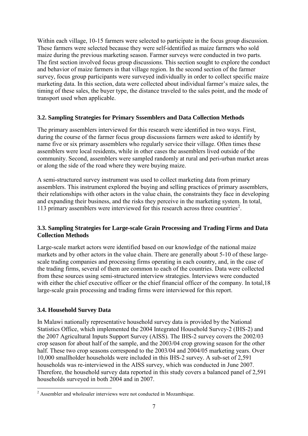Within each village, 10-15 farmers were selected to participate in the focus group discussion. These farmers were selected because they were self-identified as maize farmers who sold maize during the previous marketing season. Farmer surveys were conducted in two parts. The first section involved focus group discussions. This section sought to explore the conduct and behavior of maize farmers in that village region. In the second section of the farmer survey, focus group participants were surveyed individually in order to collect specific maize marketing data. In this section, data were collected about individual farmer's maize sales, the timing of these sales, the buyer type, the distance traveled to the sales point, and the mode of transport used when applicable.

# **3.2. Sampling Strategies for Primary Sssemblers and Data Collection Methods**

The primary assemblers interviewed for this research were identified in two ways. First, during the course of the farmer focus group discussions farmers were asked to identify by name five or six primary assemblers who regularly service their village. Often times these assemblers were local residents, while in other cases the assemblers lived outside of the community. Second, assemblers were sampled randomly at rural and peri-urban market areas or along the side of the road where they were buying maize.

A semi-structured survey instrument was used to collect marketing data from primary assemblers. This instrument explored the buying and selling practices of primary assemblers, their relationships with other actors in the value chain, the constraints they face in developing and expanding their business, and the risks they perceive in the marketing system. In total, 113 primary assemblers were interviewed for this research across three countries<sup>[2](#page-16-0)</sup>.

# **3.3. Sampling Strategies for Large-scale Grain Processing and Trading Firms and Data Collection Methods**

Large-scale market actors were identified based on our knowledge of the national maize markets and by other actors in the value chain. There are generally about 5-10 of these largescale trading companies and processing firms operating in each country, and, in the case of the trading firms, several of them are common to each of the countries. Data were collected from these sources using semi-structured interview strategies. Interviews were conducted with either the chief executive officer or the chief financial officer of the company. In total, 18 large-scale grain processing and trading firms were interviewed for this report.

# **3.4. Household Survey Data**

In Malawi nationally representative household survey data is provided by the National Statistics Office, which implemented the 2004 Integrated Household Survey-2 (IHS-2) and the 2007 Agricultural Inputs Support Survey (AISS). The IHS-2 survey covers the 2002/03 crop season for about half of the sample, and the 2003/04 crop growing season for the other half. These two crop seasons correspond to the 2003/04 and 2004/05 marketing years. Over 10,000 smallholder households were included in this IHS-2 survey. A sub-set of 2,591 households was re-interviewed in the AISS survey, which was conducted in June 2007. Therefore, the household survey data reported in this study covers a balanced panel of 2,591 households surveyed in both 2004 and in 2007.

<span id="page-16-0"></span><sup>-</sup> $2$  Assembler and wholesaler interviews were not conducted in Mozambique.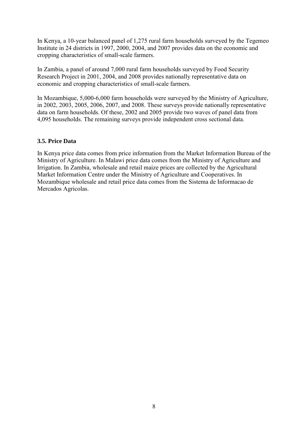In Kenya, a 10-year balanced panel of 1,275 rural farm households surveyed by the Tegemeo Institute in 24 districts in 1997, 2000, 2004, and 2007 provides data on the economic and cropping characteristics of small-scale farmers.

In Zambia, a panel of around 7,000 rural farm households surveyed by Food Security Research Project in 2001, 2004, and 2008 provides nationally representative data on economic and cropping characteristics of small-scale farmers.

In Mozambique, 5,000-6,000 farm households were surveyed by the Ministry of Agriculture, in 2002, 2003, 2005, 2006, 2007, and 2008. These surveys provide nationally representative data on farm households. Of these, 2002 and 2005 provide two waves of panel data from 4,095 households. The remaining surveys provide independent cross sectional data.

## **3.5. Price Data**

In Kenya price data comes from price information from the Market Information Bureau of the Ministry of Agriculture. In Malawi price data comes from the Ministry of Agriculture and Irrigation. In Zambia, wholesale and retail maize prices are collected by the Agricultural Market Information Centre under the Ministry of Agriculture and Cooperatives. In Mozambique wholesale and retail price data comes from the Sistema de Informacao de Mercados Agricolas.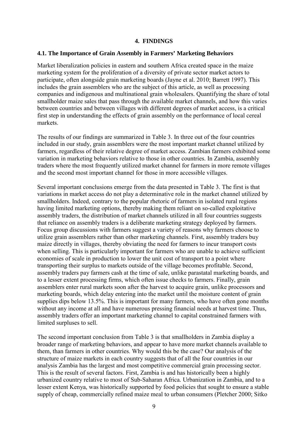#### **4. FINDINGS**

#### **4.1. The Importance of Grain Assembly in Farmers' Marketing Behaviors**

Market liberalization policies in eastern and southern Africa created space in the maize marketing system for the proliferation of a diversity of private sector market actors to participate, often alongside grain marketing boards (Jayne et al. 2010; Barrett 1997). This includes the grain assemblers who are the subject of this article, as well as processing companies and indigenous and multinational grain wholesalers. Quantifying the share of total smallholder maize sales that pass through the available market channels, and how this varies between countries and between villages with different degrees of market access, is a critical first step in understanding the effects of grain assembly on the performance of local cereal markets.

The results of our findings are summarized in Table 3. In three out of the four countries included in our study, grain assemblers were the most important market channel utilized by farmers, regardless of their relative degree of market access. Zambian farmers exhibited some variation in marketing behaviors relative to those in other countries. In Zambia, assembly traders where the most frequently utilized market channel for farmers in more remote villages and the second most important channel for those in more accessible villages.

Several important conclusions emerge from the data presented in Table 3. The first is that variations in market access do not play a determinative role in the market channel utilized by smallholders. Indeed, contrary to the popular rhetoric of farmers in isolated rural regions having limited marketing options, thereby making them reliant on so-called exploitative assembly traders, the distribution of market channels utilized in all four countries suggests that reliance on assembly traders is a deliberate marketing strategy deployed by farmers. Focus group discussions with farmers suggest a variety of reasons why farmers choose to utilize grain assemblers rather than other marketing channels. First, assembly traders buy maize directly in villages, thereby obviating the need for farmers to incur transport costs when selling. This is particularly important for farmers who are unable to achieve sufficient economies of scale in production to lower the unit cost of transport to a point where transporting their surplus to markets outside of the village becomes profitable. Second, assembly traders pay farmers cash at the time of sale, unlike parastatal marketing boards, and to a lesser extent processing firms, which often issue checks to farmers. Finally, grain assemblers enter rural markets soon after the harvest to acquire grain, unlike processors and marketing boards, which delay entering into the market until the moisture content of grain supplies dips below 13.5%. This is important for many farmers, who have often gone months without any income at all and have numerous pressing financial needs at harvest time. Thus, assembly traders offer an important marketing channel to capital constrained farmers with limited surpluses to sell.

The second important conclusion from Table 3 is that smallholders in Zambia display a broader range of marketing behaviors, and appear to have more market channels available to them, than farmers in other countries. Why would this be the case? Our analysis of the structure of maize markets in each country suggests that of all the four countries in our analysis Zambia has the largest and most competitive commercial grain processing sector. This is the result of several factors. First, Zambia is and has historically been a highly urbanized country relative to most of Sub-Saharan Africa. Urbanization in Zambia, and to a lesser extent Kenya, was historically supported by food policies that sought to ensure a stable supply of cheap, commercially refined maize meal to urban consumers (Pletcher 2000; Sitko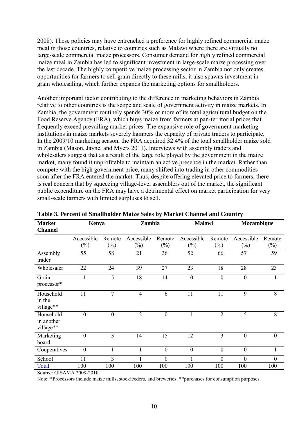2008). These policies may have entrenched a preference for highly refined commercial maize meal in those countries, relative to countries such as Malawi where there are virtually no large-scale commercial maize processors. Consumer demand for highly refined commercial maize meal in Zambia has led to significant investment in large-scale maize processing over the last decade. The highly competitive maize processing sector in Zambia not only creates opportunities for farmers to sell grain directly to these mills, it also spawns investment in grain wholesaling, which further expands the marketing options for smallholders.

Another important factor contributing to the difference in marketing behaviors in Zambia relative to other countries is the scope and scale of government activity in maize markets. In Zambia, the government routinely spends 30% or more of its total agricultural budget on the Food Reserve Agency (FRA), which buys maize from farmers at pan-territorial prices that frequently exceed prevailing market prices. The expansive role of government marketing institutions in maize markets severely hampers the capacity of private traders to participate. In the 2009/10 marketing season, the FRA acquired 32.4% of the total smallholder maize sold in Zambia (Mason, Jayne, and Myers 2011). Interviews with assembly traders and wholesalers suggest that as a result of the large role played by the government in the maize market, many found it unprofitable to maintain an active presence in the market. Rather than compete with the high government price, many shifted into trading in other commodities soon after the FRA entered the market. Thus, despite offering elevated price to farmers, there is real concern that by squeezing village-level assemblers out of the market, the significant public expenditure on the FRA may have a detrimental effect on market participation for very small-scale farmers with limited surpluses to sell.

| <b>Market</b><br><b>Channel</b>      | Kenya                |                  | Zambia               |                  | <b>Malawi</b>        |                  | Mozambique           |                  |
|--------------------------------------|----------------------|------------------|----------------------|------------------|----------------------|------------------|----------------------|------------------|
|                                      | Accessible<br>$(\%)$ | Remote<br>$(\%)$ | Accessible<br>$(\%)$ | Remote<br>$(\%)$ | Accessible<br>$(\%)$ | Remote<br>$(\%)$ | Accessible<br>$(\%)$ | Remote<br>$(\%)$ |
| Assembly<br>trader                   | 55                   | 58               | 21                   | 36               | 52                   | 66               | 57                   | 59               |
| Wholesaler                           | 22                   | 24               | 39                   | 27               | 23                   | 18               | 28                   | 23               |
| Grain<br>processor*                  | 1                    | 5                | 18                   | 14               | $\overline{0}$       | $\boldsymbol{0}$ | $\mathbf{0}$         | 1                |
| Household<br>in the<br>village**     | 11                   | 7                | $\overline{4}$       | 6                | 11                   | 11               | 9                    | 8                |
| Household<br>in another<br>village** | $\overline{0}$       | $\mathbf{0}$     | $\overline{2}$       | $\boldsymbol{0}$ |                      | $\overline{2}$   | 5                    | $8\,$            |
| Marketing<br>board                   | $\boldsymbol{0}$     | $\overline{3}$   | 14                   | 15               | 12                   | 3                | $\boldsymbol{0}$     | $\boldsymbol{0}$ |
| Cooperatives                         | $\boldsymbol{0}$     |                  |                      | $\mathbf{0}$     | $\mathbf{0}$         | $\boldsymbol{0}$ | $\mathbf{0}$         |                  |
| School                               | 11                   | 3                |                      | $\boldsymbol{0}$ |                      | $\boldsymbol{0}$ | $\theta$             | $\boldsymbol{0}$ |
| Total                                | 100                  | 100              | 100                  | 100              | 100                  | 100              | 100                  | 100              |

**Table 3. Percent of Smallholder Maize Sales by Market Channel and Country** 

Source: GISAMA 2009-2010.

Note: \*Processors include maize mills, stockfeeders, and breweries. \*\*purchases for consumption purposes.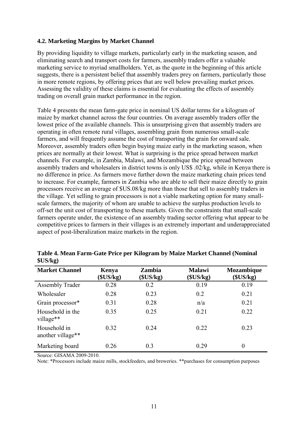# **4.2. Marketing Margins by Market Channel**

By providing liquidity to village markets, particularly early in the marketing season, and eliminating search and transport costs for farmers, assembly traders offer a valuable marketing service to myriad smallholders. Yet, as the quote in the beginning of this article suggests, there is a persistent belief that assembly traders prey on farmers, particularly those in more remote regions, by offering prices that are well below prevailing market prices. Assessing the validity of these claims is essential for evaluating the effects of assembly trading on overall grain market performance in the region.

Table 4 presents the mean farm-gate price in nominal US dollar terms for a kilogram of maize by market channel across the four countries. On average assembly traders offer the lowest price of the available channels. This is unsurprising given that assembly traders are operating in often remote rural villages, assembling grain from numerous small-scale farmers, and will frequently assume the cost of transporting the grain for onward sale. Moreover, assembly traders often begin buying maize early in the marketing season, when prices are normally at their lowest. What is surprising is the price spread between market channels. For example, in Zambia, Malawi, and Mozambique the price spread between assembly traders and wholesalers in district towns is only US\$ .02/kg, while in Kenya there is no difference in price. As farmers move further down the maize marketing chain prices tend to increase. For example, farmers in Zambia who are able to sell their maize directly to grain processors receive an average of \$US.08/kg more than those that sell to assembly traders in the village. Yet selling to grain processors is not a viable marketing option for many smallscale farmers, the majority of whom are unable to achieve the surplus production levels to off-set the unit cost of transporting to these markets. Given the constraints that small-scale farmers operate under, the existence of an assembly trading sector offering what appear to be competitive prices to farmers in their villages is an extremely important and underappreciated aspect of post-liberalization maize markets in the region.

| <b>Market Channel</b>                         | Kenya<br>\$US/kg\$ | <b>Zambia</b><br>\$US/kg\$ | <b>Malawi</b><br>\$US/kg\$ | <b>Mozambique</b><br>\$US/kg\$ |
|-----------------------------------------------|--------------------|----------------------------|----------------------------|--------------------------------|
| <b>Assembly Trader</b>                        | 0.28               | 0.2                        | 0.19                       | 0.19                           |
| Wholesaler                                    | 0.28               | 0.23                       | 0.2                        | 0.21                           |
| Grain processor*                              | 0.31               | 0.28                       | n/a                        | 0.21                           |
| Household in the<br>village**                 | 0.35               | 0.25                       | 0.21                       | 0.22                           |
| Household in<br>another village <sup>**</sup> | 0.32               | 0.24                       | 0.22                       | 0.23                           |
| Marketing board                               | 0.26               | 0.3                        | 0.29                       | 0                              |

|        |  | Table 4. Mean Farm-Gate Price per Kilogram by Maize Market Channel (Nominal |
|--------|--|-----------------------------------------------------------------------------|
| SUS/kg |  |                                                                             |

Source: GISAMA 2009-2010.

Note: \*Processors include maize mills, stockfeeders, and breweries. \*\*purchases for consumption purposes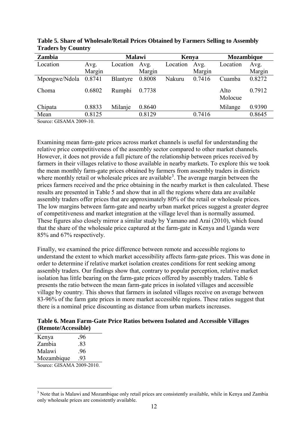| Zambia        |        | <b>Malawi</b> |        | Kenya    |        | <b>Mozambique</b> |        |
|---------------|--------|---------------|--------|----------|--------|-------------------|--------|
| Location      | Avg.   | Location      | Avg.   | Location | Avg.   | Location          | Avg.   |
|               | Margin |               | Margin |          | Margin |                   | Margin |
| Mpongwe/Ndola | 0.8741 | Blantyre      | 0.8008 | Nakuru   | 0.7416 | Cuamba            | 0.8272 |
| Choma         | 0.6802 | Rumphi        | 0.7738 |          |        | Alto<br>Molocue   | 0.7912 |
| Chipata       | 0.8833 | Milanje       | 0.8640 |          |        | Milange           | 0.9390 |
| Mean          | 0.8125 |               | 0.8129 |          | 0.7416 |                   | 0.8645 |

**Table 5. Share of Wholesale/Retail Prices Obtained by Farmers Selling to Assembly Traders by Country** 

Source: GISAMA 2009-10.

Examining mean farm-gate prices across market channels is useful for understanding the relative price competitiveness of the assembly sector compared to other market channels. However, it does not provide a full picture of the relationship between prices received by farmers in their villages relative to those available in nearby markets. To explore this we took the mean monthly farm-gate prices obtained by farmers from assembly traders in districts where monthly retail or wholesale prices are available<sup>[3](#page-21-0)</sup>. The average margin between the prices farmers received and the price obtaining in the nearby market is then calculated. These results are presented in Table 5 and show that in all the regions where data are available assembly traders offer prices that are approximately 80% of the retail or wholesale prices. The low margins between farm-gate and nearby urban market prices suggest a greater degree of competitiveness and market integration at the village level than is normally assumed. These figures also closely mirror a similar study by Yamano and Arai (2010), which found that the share of the wholesale price captured at the farm-gate in Kenya and Uganda were 85% and 67% respectively.

Finally, we examined the price difference between remote and accessible regions to understand the extent to which market accessibility affects farm-gate prices. This was done in order to determine if relative market isolation creates conditions for rent seeking among assembly traders. Our findings show that, contrary to popular perception, relative market isolation has little bearing on the farm-gate prices offered by assembly traders. Table 6 presents the ratio between the mean farm-gate prices in isolated villages and accessible village by country. This shows that farmers in isolated villages receive on average between 83-96% of the farm gate prices in more market accessible regions. These ratios suggest that there is a nominal price discounting as distance from urban markets increases.

#### **Table 6. Mean Farm-Gate Price Ratios between Isolated and Accessible Villages (Remote/Accessible)**

| Kenya      | .96 |  |
|------------|-----|--|
| Zambia     | .83 |  |
| Malawi     | -96 |  |
| Mozambique | .93 |  |
| $\sim$     |     |  |

Source: GISAMA 2009-2010.

<u>.</u>

<span id="page-21-0"></span><sup>&</sup>lt;sup>3</sup> Note that is Malawi and Mozambique only retail prices are consistently available, while in Kenya and Zambia only wholesale prices are consistently available.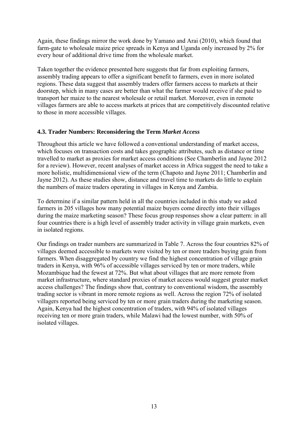Again, these findings mirror the work done by Yamano and Arai (2010), which found that farm-gate to wholesale maize price spreads in Kenya and Uganda only increased by 2% for every hour of additional drive time from the wholesale market.

Taken together the evidence presented here suggests that far from exploiting farmers, assembly trading appears to offer a significant benefit to farmers, even in more isolated regions. These data suggest that assembly traders offer farmers access to markets at their doorstep, which in many cases are better than what the farmer would receive if she paid to transport her maize to the nearest wholesale or retail market. Moreover, even in remote villages farmers are able to access markets at prices that are competitively discounted relative to those in more accessible villages.

# **4.3. Trader Numbers: Reconsidering the Term** *Market Access*

Throughout this article we have followed a conventional understanding of market access, which focuses on transaction costs and takes geographic attributes, such as distance or time travelled to market as proxies for market access conditions (See Chamberlin and Jayne 2012 for a review). However, recent analyses of market access in Africa suggest the need to take a more holistic, multidimensional view of the term (Chapoto and Jayne 2011; Chamberlin and Jayne 2012). As these studies show, distance and travel time to markets do little to explain the numbers of maize traders operating in villages in Kenya and Zambia.

To determine if a similar pattern held in all the countries included in this study we asked farmers in 205 villages how many potential maize buyers come directly into their villages during the maize marketing season? These focus group responses show a clear pattern: in all four countries there is a high level of assembly trader activity in village grain markets, even in isolated regions.

Our findings on trader numbers are summarized in Table 7. Across the four countries 82% of villages deemed accessible to markets were visited by ten or more traders buying grain from farmers. When disaggregated by country we find the highest concentration of village grain traders in Kenya, with 96% of accessible villages serviced by ten or more traders, while Mozambique had the fewest at 72%. But what about villages that are more remote from market infrastructure, where standard proxies of market access would suggest greater market access challenges? The findings show that, contrary to conventional wisdom, the assembly trading sector is vibrant in more remote regions as well. Across the region 72% of isolated villagers reported being serviced by ten or more grain traders during the marketing season. Again, Kenya had the highest concentration of traders, with 94% of isolated villages receiving ten or more grain traders, while Malawi had the lowest number, with 50% of isolated villages.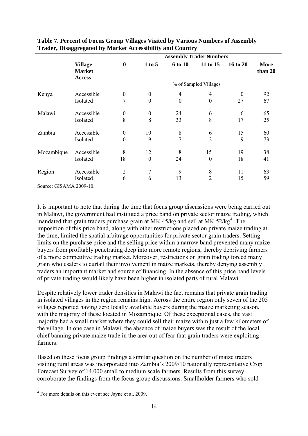|            |                                                  |                  |                  | <b>Assembly Trader Numbers</b> |                       |          |                        |
|------------|--------------------------------------------------|------------------|------------------|--------------------------------|-----------------------|----------|------------------------|
|            | <b>Village</b><br><b>Market</b><br><b>Access</b> | $\bf{0}$         | 1 to 5           | 6 to 10                        | 11 to 15              | 16 to 20 | <b>More</b><br>than 20 |
|            |                                                  |                  |                  |                                | % of Sampled Villages |          |                        |
| Kenya      | Accessible                                       | 0                | $\boldsymbol{0}$ | 4                              | 4                     | $\Omega$ | 92                     |
|            | Isolated                                         | 7                | $\theta$         | $\boldsymbol{0}$               | $\boldsymbol{0}$      | 27       | 67                     |
| Malawi     | Accessible                                       | $\boldsymbol{0}$ | $\boldsymbol{0}$ | 24                             | 6                     | 6        | 65                     |
|            | Isolated                                         | 8                | 8                | 33                             | 8                     | 17       | 25                     |
| Zambia     | Accessible                                       | $\boldsymbol{0}$ | 10               | $\,$ $\,$                      | 6                     | 15       | 60                     |
|            | Isolated                                         | 0                | 9                | 7                              | $\overline{2}$        | 9        | 73                     |
| Mozambique | Accessible                                       | 8                | 12               | 8                              | 15                    | 19       | 38                     |
|            | Isolated                                         | 18               | $\theta$         | 24                             | $\boldsymbol{0}$      | 18       | 41                     |
| Region     | Accessible                                       | 2                | 7                | 9                              | 8                     | 11       | 63                     |
|            | Isolated                                         | 6                | 6                | 13                             | 2                     | 15       | 59                     |

**Table 7. Percent of Focus Group Villages Visited by Various Numbers of Assembly Trader, Disaggregated by Market Accessibility and Country**

Source: GISAMA 2009-10.

It is important to note that during the time that focus group discussions were being carried out in Malawi, the government had instituted a price band on private sector maize trading, which mandated that grain traders purchase grain at MK  $45/kg$  $45/kg$  and sell at MK  $52/kg<sup>4</sup>$ . The imposition of this price band, along with other restrictions placed on private maize trading at the time, limited the spatial arbitrage opportunities for private sector grain traders. Setting limits on the purchase price and the selling price within a narrow band prevented many maize buyers from profitably penetrating deep into more remote regions, thereby depriving farmers of a more competitive trading market. Moreover, restrictions on grain trading forced many grain wholesalers to curtail their involvement in maize markets, thereby denying assembly traders an important market and source of financing. In the absence of this price band levels of private trading would likely have been higher in isolated parts of rural Malawi.

Despite relatively lower trader densities in Malawi the fact remains that private grain trading in isolated villages in the region remains high. Across the entire region only seven of the 205 villages reported having zero locally available buyers during the maize marketing season, with the majority of these located in Mozambique. Of these exceptional cases, the vast majority had a small market where they could sell their maize within just a few kilometers of the village. In one case in Malawi, the absence of maize buyers was the result of the local chief banning private maize trade in the area out of fear that grain traders were exploiting farmers.

Based on these focus group findings a similar question on the number of maize traders visiting rural areas was incorporated into Zambia's 2009/10 nationally representative Crop Forecast Survey of 14,000 small to medium scale farmers. Results from this survey corroborate the findings from the focus group discussions. Smallholder farmers who sold

<span id="page-23-0"></span><sup>-</sup> $4$  For more details on this event see Jayne et al. 2009.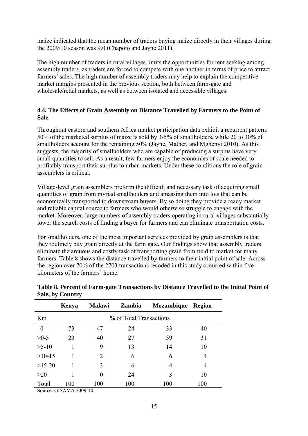maize indicated that the mean number of traders buying maize directly in their villages during the 2009/10 season was 9.0 (Chapoto and Jayne 2011).

The high number of traders in rural villages limits the opportunities for rent seeking among assembly traders, as traders are forced to compete with one another in terms of price to attract farmers' sales. The high number of assembly traders may help to explain the competitive market margins presented in the previous section, both between farm-gate and wholesale/retail markets, as well as between isolated and accessible villages.

# **4.4. The Effects of Grain Assembly on Distance Travelled by Farmers to the Point of Sale**

Throughout eastern and southern Africa market participation data exhibit a recurrent pattern: 50% of the marketed surplus of maize is sold by 3-5% of smallholders, while 20 to 30% of smallholders account for the remaining 50% (Jayne, Mather, and Mghenyi 2010). As this suggests, the majority of smallholders who are capable of producing a surplus have very small quantities to sell. As a result, few farmers enjoy the economies of scale needed to profitably transport their surplus to urban markets. Under these conditions the role of grain assemblers is critical.

Village-level grain assemblers preform the difficult and necessary task of acquiring small quantities of grain from myriad smallholders and amassing them into lots that can be economically transported to downstream buyers. By so doing they provide a ready market and reliable capital source to farmers who would otherwise struggle to engage with the market. Moreover, large numbers of assembly traders operating in rural villages substantially lower the search costs of finding a buyer for farmers and can eliminate transportation costs.

For smallholders, one of the most important services provided by grain assemblers is that they routinely buy grain directly at the farm gate. Our findings show that assembly traders eliminate the arduous and costly task of transporting grain from field to market for many farmers. Table 8 shows the distance travelled by farmers to their initial point of sale. Across the region over 70% of the 2703 transactions recoded in this study occurred within five kilometers of the farmers' home.

|                 | Kenya                                                  | <b>Malawi</b> | <b>Zambia</b>           | <b>Mozambique</b> | Region |
|-----------------|--------------------------------------------------------|---------------|-------------------------|-------------------|--------|
| Km              |                                                        |               | % of Total Transactions |                   |        |
| $\theta$        | 73                                                     | 47            | 24                      | 33                | 40     |
| $>0-5$          | 23                                                     | 40            | 27                      | 39                | 31     |
| $>5-10$         |                                                        | 9             | 13                      | 14                | 10     |
| $>10-15$        |                                                        | 2             | 6                       | 6                 | 4      |
| $>15-20$        |                                                        | 3             | 6                       | 4                 | 4      |
| >20             |                                                        | 0             | 24                      | 3                 | 10     |
| Total<br>$\sim$ | 100<br>$\sqrt{10}$ $\sqrt{10}$ $\sqrt{10}$ $\sqrt{10}$ | 100           | 100                     | 100               | 100    |

# **Table 8. Percent of Farm-gate Transactions by Distance Travelled to the Initial Point of Sale, by Country**

Source: GISAMA 2009-10.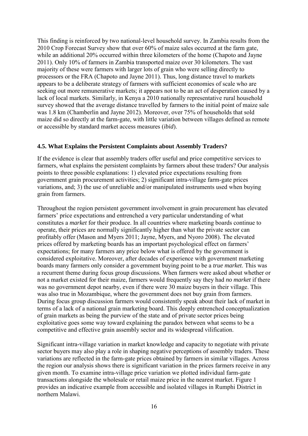This finding is reinforced by two national-level household survey. In Zambia results from the 2010 Crop Forecast Survey show that over 60% of maize sales occurred at the farm gate, while an additional 20% occurred within three kilometers of the home (Chapoto and Jayne 2011). Only 10% of farmers in Zambia transported maize over 30 kilometers. The vast majority of these were farmers with larger lots of grain who were selling directly to processors or the FRA (Chapoto and Jayne 2011). Thus, long distance travel to markets appears to be a deliberate strategy of farmers with sufficient economies of scale who are seeking out more remunerative markets; it appears not to be an act of desperation caused by a lack of local markets. Similarly, in Kenya a 2010 nationally representative rural household survey showed that the average distance travelled by farmers to the initial point of maize sale was 1.8 km (Chamberlin and Jayne 2012). Moreover, over 75% of households that sold maize did so directly at the farm-gate, with little variation between villages defined as remote or accessible by standard market access measures (*ibid*).

## **4.5. What Explains the Persistent Complaints about Assembly Traders?**

If the evidence is clear that assembly traders offer useful and price competitive services to farmers, what explains the persistent complaints by farmers about these traders? Our analysis points to three possible explanations: 1) elevated price expectations resulting from government grain procurement activities; 2) significant intra-village farm-gate prices variations, and; 3) the use of unreliable and/or manipulated instruments used when buying grain from farmers.

Throughout the region persistent government involvement in grain procurement has elevated farmers' price expectations and entrenched a very particular understanding of what constitutes a *market* for their produce. In all countries where marketing boards continue to operate, their prices are normally significantly higher than what the private sector can profitably offer (Mason and Myers 2011; Jayne, Myers, and Nyoro 2008). The elevated prices offered by marketing boards has an important psychological effect on farmers' expectations; for many farmers any price below what is offered by the government is considered exploitative. Moreover, after decades of experience with government marketing boards many farmers only consider a government buying point to be a *true market*. This was a recurrent theme during focus group discussions. When farmers were asked about whether or not a market existed for their maize, farmers would frequently say they had *no market* if there was no government depot nearby, even if there were 30 maize buyers in their village. This was also true in Mozambique, where the government does not buy grain from farmers. During focus group discussion farmers would consistently speak about their lack of market in terms of a lack of a national grain marketing board. This deeply entrenched conceptualization of grain markets as being the purview of the state and of private sector prices being exploitative goes some way toward explaining the paradox between what seems to be a competitive and effective grain assembly sector and its widespread vilification.

Significant intra-village variation in market knowledge and capacity to negotiate with private sector buyers may also play a role in shaping negative perceptions of assembly traders. These variations are reflected in the farm-gate prices obtained by farmers in similar villages. Across the region our analysis shows there is significant variation in the prices farmers receive in any given month. To examine intra-village price variation we plotted individual farm-gate transactions alongside the wholesale or retail maize price in the nearest market. Figure 1 provides an indicative example from accessible and isolated villages in Rumphi District in northern Malawi.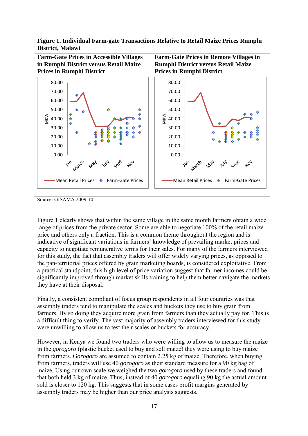**Figure 1. Individual Farm-gate Transactions Relative to Retail Maize Prices Rumphi District, Malawi**



Source: GISAMA 2009-10.

Figure 1 clearly shows that within the same village in the same month farmers obtain a wide range of prices from the private sector. Some are able to negotiate 100% of the retail maize price and others only a fraction. This is a common theme throughout the region and is indicative of significant variations in farmers' knowledge of prevailing market prices and capacity to negotiate remunerative terms for their sales. For many of the farmers interviewed for this study, the fact that assembly traders will offer widely varying prices, as opposed to the pan-territorial prices offered by grain marketing boards, is considered exploitative. From a practical standpoint, this high level of price variation suggest that farmer incomes could be significantly improved through market skills training to help them better navigate the markets they have at their disposal.

Finally, a consistent compliant of focus group respondents in all four countries was that assembly traders tend to manipulate the scales and buckets they use to buy grain from farmers. By so doing they acquire more grain from farmers than they actually pay for. This is a difficult thing to verify. The vast majority of assembly traders interviewed for this study were unwilling to allow us to test their scales or buckets for accuracy.

However, in Kenya we found two traders who were willing to allow us to measure the maize in the *gorogoro* (plastic bucket used to buy and sell maize) they were using to buy maize from farmers. G*orogoro* are assumed to contain 2.25 kg of maize. Therefore, when buying from farmers, traders will use 40 *gorogoro* as their standard measure for a 90 kg bag of maize*.* Using our own scale we weighed the two *gorogoro* used by these traders and found that both held 3 kg of maize. Thus, instead of 40 *gorogoro* equaling 90 kg the actual amount sold is closer to 120 kg. This suggests that in some cases profit margins generated by assembly traders may be higher than our price analysis suggests.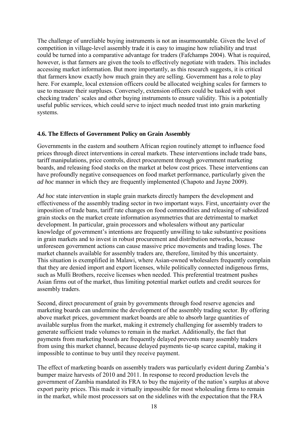The challenge of unreliable buying instruments is not an insurmountable. Given the level of competition in village-level assembly trade it is easy to imagine how reliability and trust could be turned into a comparative advantage for traders (Fafchamps 2004). What is required, however, is that farmers are given the tools to effectively negotiate with traders. This includes accessing market information. But more importantly, as this research suggests, it is critical that farmers know exactly how much grain they are selling. Government has a role to play here. For example, local extension officers could be allocated weighing scales for farmers to use to measure their surpluses. Conversely, extension officers could be tasked with spot checking traders' scales and other buying instruments to ensure validity. This is a potentially useful public services, which could serve to inject much needed trust into grain marketing systems.

#### **4.6. The Effects of Government Policy on Grain Assembly**

Governments in the eastern and southern African region routinely attempt to influence food prices through direct interventions in cereal markets. These interventions include trade bans, tariff manipulations, price controls, direct procurement through government marketing boards, and releasing food stocks on the market at below cost prices. These interventions can have profoundly negative consequences on food market performance, particularly given the *ad hoc* manner in which they are frequently implemented (Chapoto and Jayne 2009).

*Ad hoc* state intervention in staple grain markets directly hampers the development and effectiveness of the assembly trading sector in two important ways. First, uncertainty over the imposition of trade bans, tariff rate changes on food commodities and releasing of subsidized grain stocks on the market create information asymmetries that are detrimental to market development. In particular, grain processors and wholesalers without any particular knowledge of government's intentions are frequently unwilling to take substantive positions in grain markets and to invest in robust procurement and distribution networks, because unforeseen government actions can cause massive price movements and trading loses. The market channels available for assembly traders are, therefore, limited by this uncertainty. This situation is exemplified in Malawi, where Asian-owned wholesalers frequently complain that they are denied import and export licenses, while politically connected indigenous firms, such as Mulli Brothers, receive licenses when needed. This preferential treatment pushes Asian firms out of the market, thus limiting potential market outlets and credit sources for assembly traders.

Second, direct procurement of grain by governments through food reserve agencies and marketing boards can undermine the development of the assembly trading sector. By offering above market prices, government market boards are able to absorb large quantities of available surplus from the market, making it extremely challenging for assembly traders to generate sufficient trade volumes to remain in the market. Additionally, the fact that payments from marketing boards are frequently delayed prevents many assembly traders from using this market channel, because delayed payments tie-up scarce capital, making it impossible to continue to buy until they receive payment.

The effect of marketing boards on assembly traders was particularly evident during Zambia's bumper maize harvests of 2010 and 2011. In response to record production levels the government of Zambia mandated its FRA to buy the majority of the nation's surplus at above export parity prices. This made it virtually impossible for most wholesaling firms to remain in the market, while most processors sat on the sidelines with the expectation that the FRA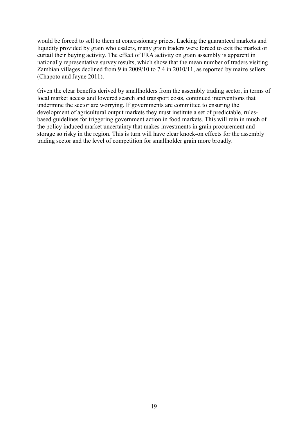would be forced to sell to them at concessionary prices. Lacking the guaranteed markets and liquidity provided by grain wholesalers, many grain traders were forced to exit the market or curtail their buying activity. The effect of FRA activity on grain assembly is apparent in nationally representative survey results, which show that the mean number of traders visiting Zambian villages declined from 9 in 2009/10 to 7.4 in 2010/11, as reported by maize sellers (Chapoto and Jayne 2011).

Given the clear benefits derived by smallholders from the assembly trading sector, in terms of local market access and lowered search and transport costs, continued interventions that undermine the sector are worrying. If governments are committed to ensuring the development of agricultural output markets they must institute a set of predictable, rulesbased guidelines for triggering government action in food markets. This will rein in much of the policy induced market uncertainty that makes investments in grain procurement and storage so risky in the region. This is turn will have clear knock-on effects for the assembly trading sector and the level of competition for smallholder grain more broadly.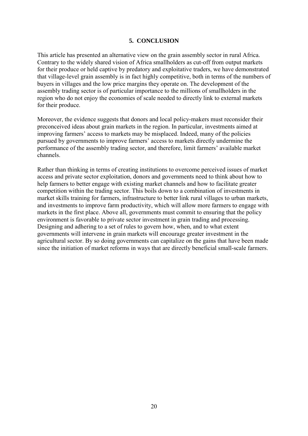## **5. CONCLUSION**

This article has presented an alternative view on the grain assembly sector in rural Africa. Contrary to the widely shared vision of Africa smallholders as cut-off from output markets for their produce or held captive by predatory and exploitative traders, we have demonstrated that village-level grain assembly is in fact highly competitive, both in terms of the numbers of buyers in villages and the low price margins they operate on. The development of the assembly trading sector is of particular importance to the millions of smallholders in the region who do not enjoy the economies of scale needed to directly link to external markets for their produce.

Moreover, the evidence suggests that donors and local policy-makers must reconsider their preconceived ideas about grain markets in the region. In particular, investments aimed at improving farmers' access to markets may be misplaced. Indeed, many of the policies pursued by governments to improve farmers' access to markets directly undermine the performance of the assembly trading sector, and therefore, limit farmers' available market channels.

Rather than thinking in terms of creating institutions to overcome perceived issues of market access and private sector exploitation, donors and governments need to think about how to help farmers to better engage with existing market channels and how to facilitate greater competition within the trading sector. This boils down to a combination of investments in market skills training for farmers, infrastructure to better link rural villages to urban markets, and investments to improve farm productivity, which will allow more farmers to engage with markets in the first place. Above all, governments must commit to ensuring that the policy environment is favorable to private sector investment in grain trading and processing. Designing and adhering to a set of rules to govern how, when, and to what extent governments will intervene in grain markets will encourage greater investment in the agricultural sector. By so doing governments can capitalize on the gains that have been made since the initiation of market reforms in ways that are directly beneficial small-scale farmers.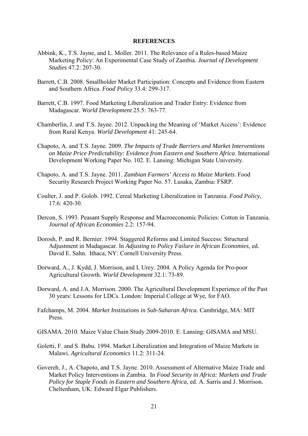#### **REFERENCES**

- Abbink, K., T.S. Jayne, and L. Moller. 2011. The Relevance of a Rules-based Maize Marketing Policy: An Experimental Case Study of Zambia. *Journal of Development Studies* 47.2: 207-30.
- Barrett, C.B. 2008. Smallholder Market Participation: Concepts and Evidence from Eastern and Southern Africa. *Food Policy* 33.4: 299-317.
- Barrett, C.B. 1997. Food Marketing Liberalization and Trader Entry: Evidence from Madagascar. *World Development* 25.5: 763-77.
- Chamberlin, J. and T.S. Jayne. 2012. Unpacking the Meaning of 'Market Access': Evidence from Rural Kenya. *World Development* 41: 245-64.
- Chapoto, A. and T.S. Jayne. 2009. *The Impacts of Trade Barriers and Market Interventions on Maize Price Predictability: Evidence from Eastern and Southern Africa*. International Development Working Paper No. 102. E. Lansing: Michigan State University.
- Chapoto, A. and T.S. Jayne. 2011. *Zambian Farmers' Access to Maize Markets*. Food Security Research Project Working Paper No. 57. Lusaka, Zambia: FSRP.
- Coulter, J. and P. Golob. 1992. Cereal Marketing Liberalization in Tanzania. *Food Policy*, 17.6: 420-30.
- Dercon, S. 1993. Peasant Supply Response and Macroeconomic Policies: Cotton in Tanzania. *Journal of African Economies* 2.2: 157-94.
- Dorosh, P. and R. Bernier. 1994. Staggered Reforms and Limited Success: Structural Adjustment in Madagascar. In *Adjusting to Policy Failure in African Economies*, ed. David E. Sahn. Ithaca, NY: Cornell University Press.
- Dorward, A., J. Kydd, J. Morrison, and I. Urey. 2004. A Policy Agenda for Pro-poor Agricultural Growth. *World Development* 32.1: 73-89.
- Dorward, A. and J.A. Morrison. 2000. The Agricultural Development Experience of the Past 30 years: Lessons for LDCs. London: Imperial College at Wye, for FAO.
- Fafchamps, M. 2004. *Market Institutions in Sub-Saharan Africa.* Cambridge, MA: MIT Press.
- GISAMA. 2010. Maize Value Chain Study 2009-2010. E. Lansing: GISAMA and MSU.
- Goletti, F. and S. Babu. 1994. Market Liberalization and Integration of Maize Markets in Malawi. *Agricultural Economics* 11.2: 311-24.
- Govereh, J., A. Chapoto, and T.S. Jayne. 2010. Assessment of Alternative Maize Trade and Market Policy Interventions in Zambia. In *Food Security in Africa: Markets and Trade Policy for Staple Foods in Eastern and Southern Africa,* ed. A. Sarris and J. Morrison. Cheltenham, UK: Edward Elgar Publishers.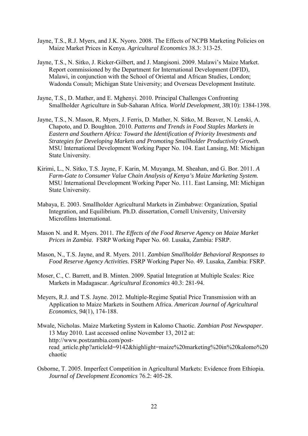- Jayne, T.S., R.J. Myers, and J.K. Nyoro. 2008. The Effects of NCPB Marketing Policies on Maize Market Prices in Kenya. *Agricultural Economics* 38.3: 313-25.
- Jayne, T.S., N. Sitko, J. Ricker-Gilbert, and J. Mangisoni. 2009. Malawi's Maize Market. Report commissioned by the Department for International Development (DFID), Malawi, in conjunction with the School of Oriental and African Studies, London; Wadonda Consult; Michigan State University; and Overseas Development Institute.
- Jayne, T.S., D. Mather, and E. Mghenyi. 2010. Principal Challenges Confronting Smallholder Agriculture in Sub-Saharan Africa. *World Development, 38*(10): 1384-1398.
- Jayne, T.S., N. Mason, R. Myers, J. Ferris, D. Mather, N. Sitko, M. Beaver, N. Lenski, A. Chapoto, and D. Boughton. 2010. *Patterns and Trends in Food Staples Markets in Eastern and Southern Africa: Toward the Identification of Priority Investments and Strategies for Developing Markets and Promoting Smallholder Productivity Growth.* MSU International Development Working Paper No. 104. East Lansing, MI: Michigan State University.
- Kirimi, L., N. Sitko, T.S. Jayne, F. Karin, M. Muyanga, M. Sheahan, and G. Bor. 2011. *A Farm-Gate to Consumer Value Chain Analysis of Kenya's Maize Marketing System*. MSU International Development Working Paper No. 111. East Lansing, MI: Michigan State University.
- Mabaya, E. 2003. Smallholder Agricultural Markets in Zimbabwe: Organization, Spatial Integration, and Equilibrium. Ph.D. dissertation, Cornell University, University Microfilms International.
- Mason N. and R. Myers. 2011*. The Effects of the Food Reserve Agency on Maize Market Prices in Zambia*. FSRP Working Paper No. 60. Lusaka, Zambia: FSRP.
- Mason, N., T.S. Jayne, and R. Myers. 2011. *Zambian Smallholder Behavioral Responses to Food Reserve Agency Activities.* FSRP Working Paper No. 49. Lusaka, Zambia: FSRP.
- Moser, C., C. Barrett, and B. Minten. 2009. Spatial Integration at Multiple Scales: Rice Markets in Madagascar. *Agricultural Economics* 40.3: 281-94.
- Meyers, R.J. and T.S. Jayne. 2012. Multiple-Regime Spatial Price Transmission with an Application to Maize Markets in Southern Africa. *American Journal of Agricultural Economics*, *94*(1), 174-188.
- Mwale, Nicholas. Maize Marketing System in Kalomo Chaotic. *Zambian Post Newspaper*. 13 May 2010. Last accessed online November 13, 2012 at: http://www.postzambia.com/postread\_article.php?articleId=9142&highlight=maize%20marketing%20in%20kalomo%20 chaotic
- Osborne, T. 2005. Imperfect Competition in Agricultural Markets: Evidence from Ethiopia. *Journal of Development Economics* 76.2: 405-28.